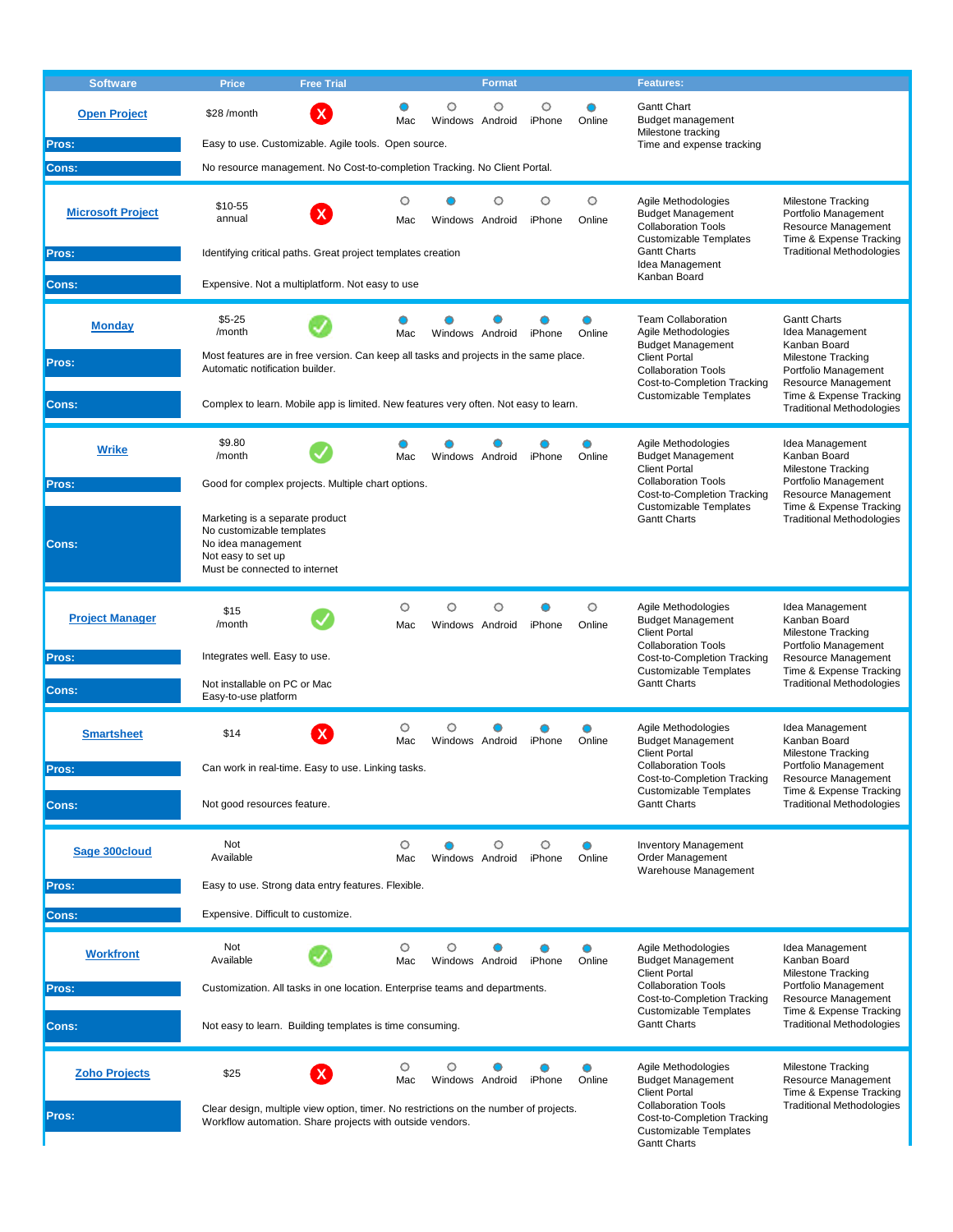| <b>Software</b>               | <b>Price</b>                                                                                                                              | <b>Free Trial</b>                                  | <b>Format</b>                                                                                                                                                                                      |                        |                   | <b>Features:</b>                                                                                                                                                                             |                                                                                                                 |  |  |
|-------------------------------|-------------------------------------------------------------------------------------------------------------------------------------------|----------------------------------------------------|----------------------------------------------------------------------------------------------------------------------------------------------------------------------------------------------------|------------------------|-------------------|----------------------------------------------------------------------------------------------------------------------------------------------------------------------------------------------|-----------------------------------------------------------------------------------------------------------------|--|--|
| <b>Open Project</b>           | \$28 /month                                                                                                                               |                                                    | $\circ$<br>$\circ$<br>Mac<br>Windows Android                                                                                                                                                       | $\circ$<br>iPhone      | Online            | <b>Gantt Chart</b><br>Budget management<br>Milestone tracking                                                                                                                                |                                                                                                                 |  |  |
| Pros:                         | Easy to use. Customizable. Agile tools. Open source.<br>Time and expense tracking                                                         |                                                    |                                                                                                                                                                                                    |                        |                   |                                                                                                                                                                                              |                                                                                                                 |  |  |
| Cons:                         |                                                                                                                                           |                                                    | No resource management. No Cost-to-completion Tracking. No Client Portal.                                                                                                                          |                        |                   |                                                                                                                                                                                              |                                                                                                                 |  |  |
| <b>Microsoft Project</b>      | \$10-55<br>annual                                                                                                                         |                                                    | $\circ$<br>O<br>Mac<br>Windows Android                                                                                                                                                             | $\circ$<br>iPhone      | $\circ$<br>Online | Agile Methodologies<br><b>Budget Management</b><br><b>Collaboration Tools</b><br><b>Customizable Templates</b>                                                                               | <b>Milestone Tracking</b><br>Portfolio Management<br>Resource Management<br>Time & Expense Tracking             |  |  |
| Pros:                         |                                                                                                                                           |                                                    | Identifying critical paths. Great project templates creation                                                                                                                                       |                        |                   | <b>Gantt Charts</b><br>Idea Management                                                                                                                                                       | <b>Traditional Methodologies</b>                                                                                |  |  |
| Cons:                         |                                                                                                                                           | Expensive. Not a multiplatform. Not easy to use    |                                                                                                                                                                                                    |                        |                   | Kanban Board                                                                                                                                                                                 |                                                                                                                 |  |  |
| <b>Monday</b>                 | $$5-25$<br>/month                                                                                                                         |                                                    | Mac<br>Windows Android                                                                                                                                                                             | iPhone                 | Online            | <b>Team Collaboration</b><br>Agile Methodologies<br><b>Budget Management</b>                                                                                                                 | <b>Gantt Charts</b><br>Idea Management<br>Kanban Board                                                          |  |  |
| Pros:                         | Automatic notification builder.                                                                                                           |                                                    | Most features are in free version. Can keep all tasks and projects in the same place.                                                                                                              |                        |                   | <b>Client Portal</b><br><b>Collaboration Tools</b><br>Cost-to-Completion Tracking                                                                                                            | <b>Milestone Tracking</b><br>Portfolio Management<br>Resource Management                                        |  |  |
| Cons:                         |                                                                                                                                           |                                                    | Complex to learn. Mobile app is limited. New features very often. Not easy to learn.                                                                                                               |                        |                   | <b>Customizable Templates</b>                                                                                                                                                                | Time & Expense Tracking<br><b>Traditional Methodologies</b>                                                     |  |  |
| <b>Wrike</b>                  | \$9.80<br>/month                                                                                                                          |                                                    | Mac<br>Windows Android                                                                                                                                                                             | iPhone                 | Online            | Agile Methodologies<br><b>Budget Management</b><br><b>Client Portal</b>                                                                                                                      | Idea Management<br>Kanban Board<br>Milestone Tracking                                                           |  |  |
| Pros:                         |                                                                                                                                           | Good for complex projects. Multiple chart options. |                                                                                                                                                                                                    |                        |                   | <b>Collaboration Tools</b><br>Cost-to-Completion Tracking                                                                                                                                    | Portfolio Management<br>Resource Management                                                                     |  |  |
| Cons:                         | Marketing is a separate product<br>No customizable templates<br>No idea management<br>Not easy to set up<br>Must be connected to internet |                                                    |                                                                                                                                                                                                    |                        |                   | <b>Customizable Templates</b><br><b>Gantt Charts</b>                                                                                                                                         | Time & Expense Tracking<br><b>Traditional Methodologies</b>                                                     |  |  |
| <b>Project Manager</b>        | \$15<br>/month                                                                                                                            |                                                    | $\circ$<br>$\circ$<br>$\circ$<br>Mac<br>Windows Android                                                                                                                                            | iPhone                 | O<br>Online       | Agile Methodologies<br><b>Budget Management</b><br><b>Client Portal</b><br><b>Collaboration Tools</b>                                                                                        | Idea Management<br>Kanban Board<br><b>Milestone Tracking</b><br>Portfolio Management                            |  |  |
| Pros:                         | Integrates well. Easy to use.                                                                                                             |                                                    |                                                                                                                                                                                                    |                        |                   | Cost-to-Completion Tracking<br><b>Customizable Templates</b>                                                                                                                                 | Resource Management<br>Time & Expense Tracking                                                                  |  |  |
| Cons:                         | Not installable on PC or Mac<br>Easy-to-use platform                                                                                      |                                                    |                                                                                                                                                                                                    |                        |                   | <b>Gantt Charts</b>                                                                                                                                                                          | Traditional Methodologies                                                                                       |  |  |
| <b>Smartsheet</b>             | \$14                                                                                                                                      |                                                    | $\circ$<br>O<br>Mac<br>Windows Android                                                                                                                                                             | iPhone                 | Online            | Agile Methodologies<br><b>Budget Management</b><br><b>Client Portal</b>                                                                                                                      | Idea Management<br>Kanban Board<br><b>Milestone Tracking</b>                                                    |  |  |
| Pros:                         |                                                                                                                                           | Can work in real-time. Easy to use. Linking tasks. |                                                                                                                                                                                                    |                        |                   | <b>Collaboration Tools</b><br>Cost-to-Completion Tracking                                                                                                                                    | Portfolio Management<br>Resource Management                                                                     |  |  |
| Cons:                         | Not good resources feature.                                                                                                               |                                                    |                                                                                                                                                                                                    |                        |                   | <b>Customizable Templates</b><br><b>Gantt Charts</b>                                                                                                                                         | Time & Expense Tracking<br><b>Traditional Methodologies</b>                                                     |  |  |
| Sage 300cloud                 | Not<br>Available                                                                                                                          |                                                    | $\circ$<br>$\circ$<br>O<br>Mac<br>Windows Android                                                                                                                                                  | $\circ$<br>O<br>iPhone | Online            | <b>Inventory Management</b><br><b>Order Management</b><br>Warehouse Management                                                                                                               |                                                                                                                 |  |  |
| Pros:                         |                                                                                                                                           | Easy to use. Strong data entry features. Flexible. |                                                                                                                                                                                                    |                        |                   |                                                                                                                                                                                              |                                                                                                                 |  |  |
| Cons:                         | Expensive. Difficult to customize.                                                                                                        |                                                    |                                                                                                                                                                                                    |                        |                   |                                                                                                                                                                                              |                                                                                                                 |  |  |
| <b>Workfront</b>              | Not<br>Available                                                                                                                          |                                                    | $\circ$<br>$\circ$<br>$\bullet$<br>Mac<br>Windows Android                                                                                                                                          | O<br>iPhone            | Online            | Agile Methodologies<br><b>Budget Management</b><br><b>Client Portal</b>                                                                                                                      | Idea Management<br>Kanban Board<br><b>Milestone Tracking</b>                                                    |  |  |
| Pros:                         |                                                                                                                                           |                                                    | Customization. All tasks in one location. Enterprise teams and departments.                                                                                                                        |                        |                   | <b>Collaboration Tools</b><br>Cost-to-Completion Tracking<br><b>Customizable Templates</b>                                                                                                   | Portfolio Management<br>Resource Management<br>Time & Expense Tracking                                          |  |  |
| Cons:                         |                                                                                                                                           |                                                    | Not easy to learn. Building templates is time consuming.                                                                                                                                           |                        |                   | <b>Gantt Charts</b>                                                                                                                                                                          | <b>Traditional Methodologies</b>                                                                                |  |  |
| <b>Zoho Projects</b><br>Pros: | \$25                                                                                                                                      |                                                    | $\circ$<br>$\circ$<br>Windows Android<br>Mac<br>Clear design, multiple view option, timer. No restrictions on the number of projects.<br>Workflow automation. Share projects with outside vendors. | O<br>iPhone            | Online            | Agile Methodologies<br><b>Budget Management</b><br><b>Client Portal</b><br><b>Collaboration Tools</b><br>Cost-to-Completion Tracking<br><b>Customizable Templates</b><br><b>Gantt Charts</b> | <b>Milestone Tracking</b><br>Resource Management<br>Time & Expense Tracking<br><b>Traditional Methodologies</b> |  |  |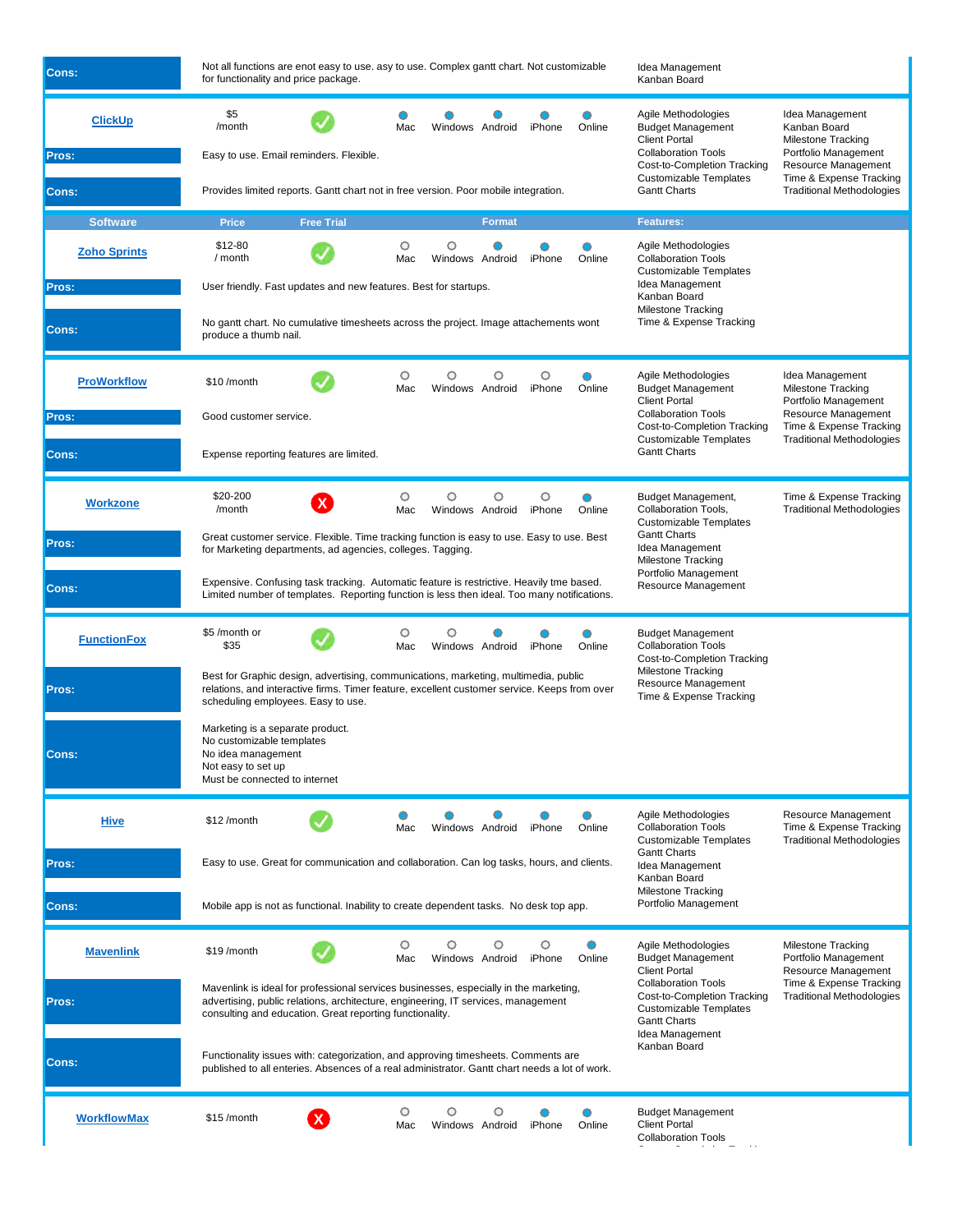| Cons:               | Not all functions are enot easy to use. asy to use. Complex gantt chart. Not customizable<br>for functionality and price package.                                                                                                      |                   | Idea Management<br>Kanban Board       |                                                                                                                     |                                                                                                                                                      |                                                                                    |  |  |
|---------------------|----------------------------------------------------------------------------------------------------------------------------------------------------------------------------------------------------------------------------------------|-------------------|---------------------------------------|---------------------------------------------------------------------------------------------------------------------|------------------------------------------------------------------------------------------------------------------------------------------------------|------------------------------------------------------------------------------------|--|--|
| <b>ClickUp</b>      | \$5<br>/month                                                                                                                                                                                                                          | Mac               | Windows Android                       | Online<br>iPhone                                                                                                    | Agile Methodologies<br><b>Budget Management</b>                                                                                                      | Idea Management<br>Kanban Board                                                    |  |  |
| Pros:               | Easy to use. Email reminders. Flexible.                                                                                                                                                                                                |                   |                                       |                                                                                                                     | <b>Client Portal</b><br><b>Collaboration Tools</b><br>Cost-to-Completion Tracking                                                                    | Milestone Tracking<br>Portfolio Management<br>Resource Management                  |  |  |
| Cons:               | Provides limited reports. Gantt chart not in free version. Poor mobile integration.                                                                                                                                                    |                   |                                       | <b>Customizable Templates</b><br>Time & Expense Tracking<br><b>Traditional Methodologies</b><br><b>Gantt Charts</b> |                                                                                                                                                      |                                                                                    |  |  |
| <b>Software</b>     | <b>Price</b>                                                                                                                                                                                                                           | <b>Free Trial</b> | <b>Format</b>                         |                                                                                                                     | <b>Features:</b>                                                                                                                                     |                                                                                    |  |  |
| <b>Zoho Sprints</b> | \$12-80<br>/ month                                                                                                                                                                                                                     | $\circ$<br>Mac    | $\circ$<br>O<br>Windows Android       | Online<br>iPhone                                                                                                    | Agile Methodologies<br><b>Collaboration Tools</b><br><b>Customizable Templates</b>                                                                   |                                                                                    |  |  |
| Pros:               | User friendly. Fast updates and new features. Best for startups.                                                                                                                                                                       |                   |                                       |                                                                                                                     | Idea Management<br>Kanban Board                                                                                                                      |                                                                                    |  |  |
| Cons:               | No gantt chart. No cumulative timesheets across the project. Image attachements wont<br>produce a thumb nail.                                                                                                                          |                   |                                       |                                                                                                                     | <b>Milestone Tracking</b><br>Time & Expense Tracking                                                                                                 |                                                                                    |  |  |
| <b>ProWorkflow</b>  | \$10/month                                                                                                                                                                                                                             | $\circ$<br>Mac    | $\circ$<br>$\circ$<br>Windows Android | $\circ$<br>Ο<br>iPhone<br>Online                                                                                    | Agile Methodologies<br><b>Budget Management</b><br><b>Client Portal</b>                                                                              | Idea Management<br><b>Milestone Tracking</b><br>Portfolio Management               |  |  |
| Pros:               | Good customer service.                                                                                                                                                                                                                 |                   |                                       |                                                                                                                     | <b>Collaboration Tools</b><br>Cost-to-Completion Tracking                                                                                            | Resource Management<br>Time & Expense Tracking                                     |  |  |
| Cons:               | Expense reporting features are limited.                                                                                                                                                                                                |                   |                                       |                                                                                                                     | <b>Customizable Templates</b><br><b>Gantt Charts</b>                                                                                                 | <b>Traditional Methodologies</b>                                                   |  |  |
| <b>Workzone</b>     | \$20-200<br>/month                                                                                                                                                                                                                     | $\circ$<br>Mac    | $\circ$<br>$\circ$<br>Windows Android | $\circ$<br>Ο<br>iPhone<br>Online                                                                                    | Budget Management,<br>Collaboration Tools,<br><b>Customizable Templates</b>                                                                          | Time & Expense Tracking<br><b>Traditional Methodologies</b>                        |  |  |
| Pros:               | Great customer service. Flexible. Time tracking function is easy to use. Easy to use. Best<br>for Marketing departments, ad agencies, colleges. Tagging.                                                                               |                   |                                       |                                                                                                                     | <b>Gantt Charts</b><br>Idea Management<br><b>Milestone Tracking</b>                                                                                  |                                                                                    |  |  |
| Cons:               | Expensive. Confusing task tracking. Automatic feature is restrictive. Heavily tme based.<br>Limited number of templates. Reporting function is less then ideal. Too many notifications.                                                |                   |                                       |                                                                                                                     | Portfolio Management<br>Resource Management                                                                                                          |                                                                                    |  |  |
| <b>FunctionFox</b>  | \$5 /month or<br>\$35                                                                                                                                                                                                                  | $\circ$<br>Mac    | O<br>Windows Android                  | iPhone<br>Online                                                                                                    | <b>Budget Management</b><br><b>Collaboration Tools</b><br>Cost-to-Completion Tracking                                                                |                                                                                    |  |  |
| Pros:               | Best for Graphic design, advertising, communications, marketing, multimedia, public<br>relations, and interactive firms. Timer feature, excellent customer service. Keeps from over<br>scheduling employees. Easy to use.              |                   |                                       |                                                                                                                     | <b>Milestone Tracking</b><br>Resource Management<br>Time & Expense Tracking                                                                          |                                                                                    |  |  |
| Cons:               | Marketing is a separate product.<br>No customizable templates<br>No idea management<br>Not easy to set up<br>Must be connected to internet                                                                                             |                   |                                       |                                                                                                                     |                                                                                                                                                      |                                                                                    |  |  |
| Hive                | $$12/m$ onth                                                                                                                                                                                                                           | Mac               | O<br>Windows Android iPhone           | Online                                                                                                              | Agile Methodologies<br><b>Collaboration Tools</b><br><b>Customizable Templates</b>                                                                   | Resource Management<br>Time & Expense Tracking<br><b>Traditional Methodologies</b> |  |  |
| Pros:               | Easy to use. Great for communication and collaboration. Can log tasks, hours, and clients.                                                                                                                                             |                   |                                       |                                                                                                                     | <b>Gantt Charts</b><br>Idea Management<br>Kanban Board                                                                                               |                                                                                    |  |  |
| Cons:               | Mobile app is not as functional. Inability to create dependent tasks. No desk top app.                                                                                                                                                 |                   |                                       |                                                                                                                     | <b>Milestone Tracking</b><br>Portfolio Management                                                                                                    |                                                                                    |  |  |
| <b>Mavenlink</b>    | \$19/month                                                                                                                                                                                                                             | $\circ$<br>Mac    | $\circ$<br>$\circ$<br>Windows Android | $\circ$<br>ο<br>iPhone<br>Online                                                                                    | Agile Methodologies<br><b>Budget Management</b><br><b>Client Portal</b>                                                                              | <b>Milestone Tracking</b><br>Portfolio Management<br>Resource Management           |  |  |
| Pros:               | Mavenlink is ideal for professional services businesses, especially in the marketing,<br>advertising, public relations, architecture, engineering, IT services, management<br>consulting and education. Great reporting functionality. |                   |                                       |                                                                                                                     | <b>Collaboration Tools</b><br>Cost-to-Completion Tracking<br><b>Customizable Templates</b><br><b>Gantt Charts</b><br>Idea Management<br>Kanban Board | Time & Expense Tracking<br><b>Traditional Methodologies</b>                        |  |  |
| Cons:               | Functionality issues with: categorization, and approving timesheets. Comments are<br>published to all enteries. Absences of a real administrator. Gantt chart needs a lot of work.                                                     |                   |                                       |                                                                                                                     |                                                                                                                                                      |                                                                                    |  |  |
| <b>WorkflowMax</b>  | $$15/m$ onth                                                                                                                                                                                                                           | $\circ$<br>Mac    | $\circ$<br>$\circ$<br>Windows Android | iPhone<br>Online                                                                                                    | <b>Budget Management</b><br><b>Client Portal</b><br><b>Collaboration Tools</b><br>$\sim$ $\sim$                                                      |                                                                                    |  |  |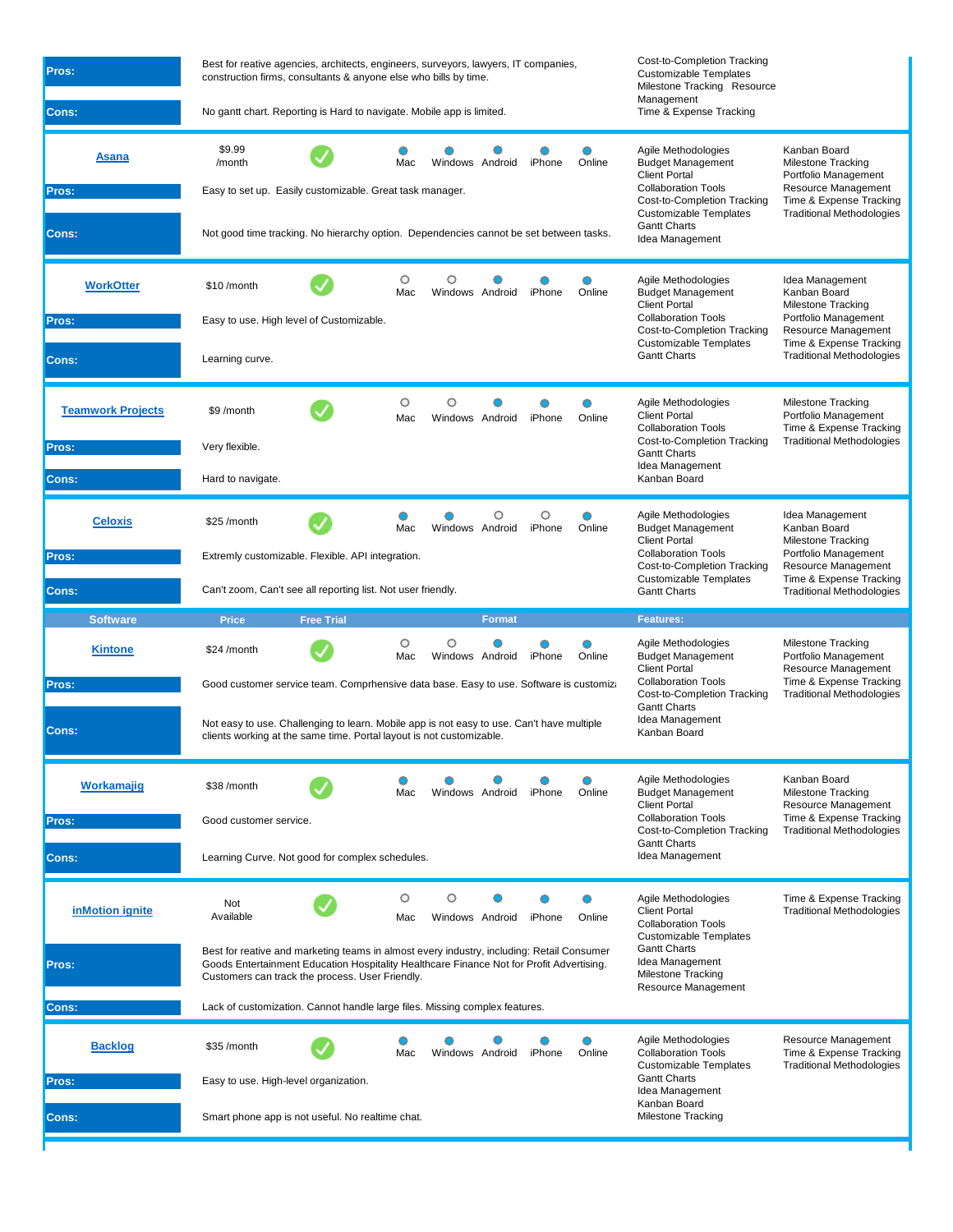| Pros:                    | Best for reative agencies, architects, engineers, surveyors, lawyers, IT companies,<br>construction firms, consultants & anyone else who bills by time.                                                                                  |                   |                                 | Cost-to-Completion Tracking<br><b>Customizable Templates</b><br>Milestone Tracking Resource<br>Management |                                             |                                                                                                          |                                                                                    |
|--------------------------|------------------------------------------------------------------------------------------------------------------------------------------------------------------------------------------------------------------------------------------|-------------------|---------------------------------|-----------------------------------------------------------------------------------------------------------|---------------------------------------------|----------------------------------------------------------------------------------------------------------|------------------------------------------------------------------------------------|
| Cons:                    | No gantt chart. Reporting is Hard to navigate. Mobile app is limited.                                                                                                                                                                    |                   |                                 | Time & Expense Tracking                                                                                   |                                             |                                                                                                          |                                                                                    |
| <u>Asana</u>             | \$9.99<br>/month                                                                                                                                                                                                                         | Mac               | Windows Android                 | iPhone                                                                                                    | Online                                      | Agile Methodologies<br><b>Budget Management</b><br><b>Client Portal</b>                                  | Kanban Board<br>Milestone Tracking<br>Portfolio Management                         |
| Pros:                    | Easy to set up. Easily customizable. Great task manager.                                                                                                                                                                                 |                   |                                 |                                                                                                           |                                             | <b>Collaboration Tools</b><br>Cost-to-Completion Tracking<br><b>Customizable Templates</b>               | Resource Management<br>Time & Expense Tracking<br><b>Traditional Methodologies</b> |
| Cons:                    | Not good time tracking. No hierarchy option. Dependencies cannot be set between tasks.                                                                                                                                                   |                   |                                 |                                                                                                           |                                             | <b>Gantt Charts</b><br>Idea Management                                                                   |                                                                                    |
| <b>WorkOtter</b>         | \$10 /month                                                                                                                                                                                                                              | $\circ$<br>Mac    | O<br>Windows Android            | iPhone                                                                                                    | Online                                      | Agile Methodologies<br><b>Budget Management</b><br><b>Client Portal</b>                                  | Idea Management<br>Kanban Board<br>Milestone Tracking                              |
| Pros:                    | Easy to use. High level of Customizable.                                                                                                                                                                                                 |                   |                                 |                                                                                                           |                                             | <b>Collaboration Tools</b><br>Cost-to-Completion Tracking<br><b>Customizable Templates</b>               | Portfolio Management<br>Resource Management                                        |
| Cons:                    | Learning curve.                                                                                                                                                                                                                          |                   |                                 |                                                                                                           |                                             | <b>Gantt Charts</b>                                                                                      | Time & Expense Tracking<br><b>Traditional Methodologies</b>                        |
| <b>Teamwork Projects</b> | \$9 /month                                                                                                                                                                                                                               | $\circ$<br>Mac    | $\circ$<br>Windows Android      | iPhone                                                                                                    | Online                                      | Agile Methodologies<br><b>Client Portal</b><br><b>Collaboration Tools</b>                                | Milestone Tracking<br>Portfolio Management<br>Time & Expense Tracking              |
| Pros:                    | Very flexible.                                                                                                                                                                                                                           |                   |                                 |                                                                                                           |                                             | Cost-to-Completion Tracking<br><b>Gantt Charts</b><br>Idea Management                                    | <b>Traditional Methodologies</b>                                                   |
| Cons:                    | Hard to navigate.                                                                                                                                                                                                                        |                   |                                 |                                                                                                           |                                             | Kanban Board                                                                                             |                                                                                    |
| <b>Celoxis</b>           | \$25 /month                                                                                                                                                                                                                              | Ο<br>Mac          | $\circ$<br>Windows Android      | $\circ$<br>iPhone                                                                                         | O<br>Online                                 | Agile Methodologies<br><b>Budget Management</b><br><b>Client Portal</b>                                  | Idea Management<br>Kanban Board<br><b>Milestone Tracking</b>                       |
| Pros:                    | Extremly customizable. Flexible. API integration.                                                                                                                                                                                        |                   |                                 | <b>Collaboration Tools</b><br>Cost-to-Completion Tracking                                                 | Portfolio Management<br>Resource Management |                                                                                                          |                                                                                    |
| Cons:                    | Can't zoom, Can't see all reporting list. Not user friendly.                                                                                                                                                                             |                   |                                 |                                                                                                           |                                             | <b>Customizable Templates</b><br><b>Gantt Charts</b>                                                     | Time & Expense Tracking<br><b>Traditional Methodologies</b>                        |
|                          |                                                                                                                                                                                                                                          |                   |                                 |                                                                                                           |                                             |                                                                                                          |                                                                                    |
| <b>Software</b>          | <b>Price</b>                                                                                                                                                                                                                             | <b>Free Trial</b> | <b>Format</b>                   |                                                                                                           |                                             | <b>Features:</b>                                                                                         |                                                                                    |
| <b>Kintone</b>           | \$24 /month                                                                                                                                                                                                                              | $\circ$<br>Mac    | $\circ$<br>O<br>Windows Android | iPhone                                                                                                    | Online                                      | Agile Methodologies<br><b>Budget Management</b>                                                          | <b>Milestone Tracking</b><br>Portfolio Management                                  |
| Pros:                    | Good customer service team. Comprhensive data base. Easy to use. Software is customiza                                                                                                                                                   |                   |                                 |                                                                                                           |                                             | <b>Client Portal</b><br><b>Collaboration Tools</b><br>Cost-to-Completion Tracking<br><b>Gantt Charts</b> | Resource Management<br>Time & Expense Tracking<br><b>Traditional Methodologies</b> |
| Cons:                    | Not easy to use. Challenging to learn. Mobile app is not easy to use. Can't have multiple<br>clients working at the same time. Portal layout is not customizable.                                                                        |                   |                                 |                                                                                                           |                                             | Idea Management<br>Kanban Board                                                                          |                                                                                    |
| Workamajig               | \$38 /month                                                                                                                                                                                                                              | Mac               | Windows Android                 | iPhone                                                                                                    | Online                                      | Agile Methodologies<br><b>Budget Management</b><br><b>Client Portal</b>                                  | Kanban Board<br>Milestone Tracking                                                 |
| Pros:                    | Good customer service.                                                                                                                                                                                                                   |                   |                                 |                                                                                                           |                                             | <b>Collaboration Tools</b><br>Cost-to-Completion Tracking                                                | Resource Management<br>Time & Expense Tracking<br><b>Traditional Methodologies</b> |
| Cons:                    | Learning Curve. Not good for complex schedules.                                                                                                                                                                                          |                   |                                 |                                                                                                           |                                             | <b>Gantt Charts</b><br>Idea Management                                                                   |                                                                                    |
| inMotion ignite          | Not<br>Available                                                                                                                                                                                                                         | $\circ$<br>Mac    | $\circ$<br>Windows Android      | iPhone                                                                                                    | Online                                      | Agile Methodologies<br><b>Client Portal</b><br><b>Collaboration Tools</b>                                | Time & Expense Tracking<br><b>Traditional Methodologies</b>                        |
| Pros:                    | Best for reative and marketing teams in almost every industry, including: Retail Consumer<br>Goods Entertainment Education Hospitality Healthcare Finance Not for Profit Advertising.<br>Customers can track the process. User Friendly. |                   |                                 |                                                                                                           |                                             | <b>Customizable Templates</b><br><b>Gantt Charts</b><br>Idea Management<br><b>Milestone Tracking</b>     |                                                                                    |
| Cons:                    | Lack of customization. Cannot handle large files. Missing complex features.                                                                                                                                                              |                   |                                 |                                                                                                           |                                             | Resource Management                                                                                      |                                                                                    |
| <b>Backlog</b>           | \$35 / month                                                                                                                                                                                                                             | Mac               | Windows Android                 | iPhone                                                                                                    | Online                                      | Agile Methodologies<br><b>Collaboration Tools</b>                                                        | Resource Management<br>Time & Expense Tracking                                     |
| Pros:                    | Easy to use. High-level organization.                                                                                                                                                                                                    |                   |                                 |                                                                                                           |                                             | <b>Customizable Templates</b><br><b>Gantt Charts</b><br>Idea Management<br>Kanban Board                  | <b>Traditional Methodologies</b>                                                   |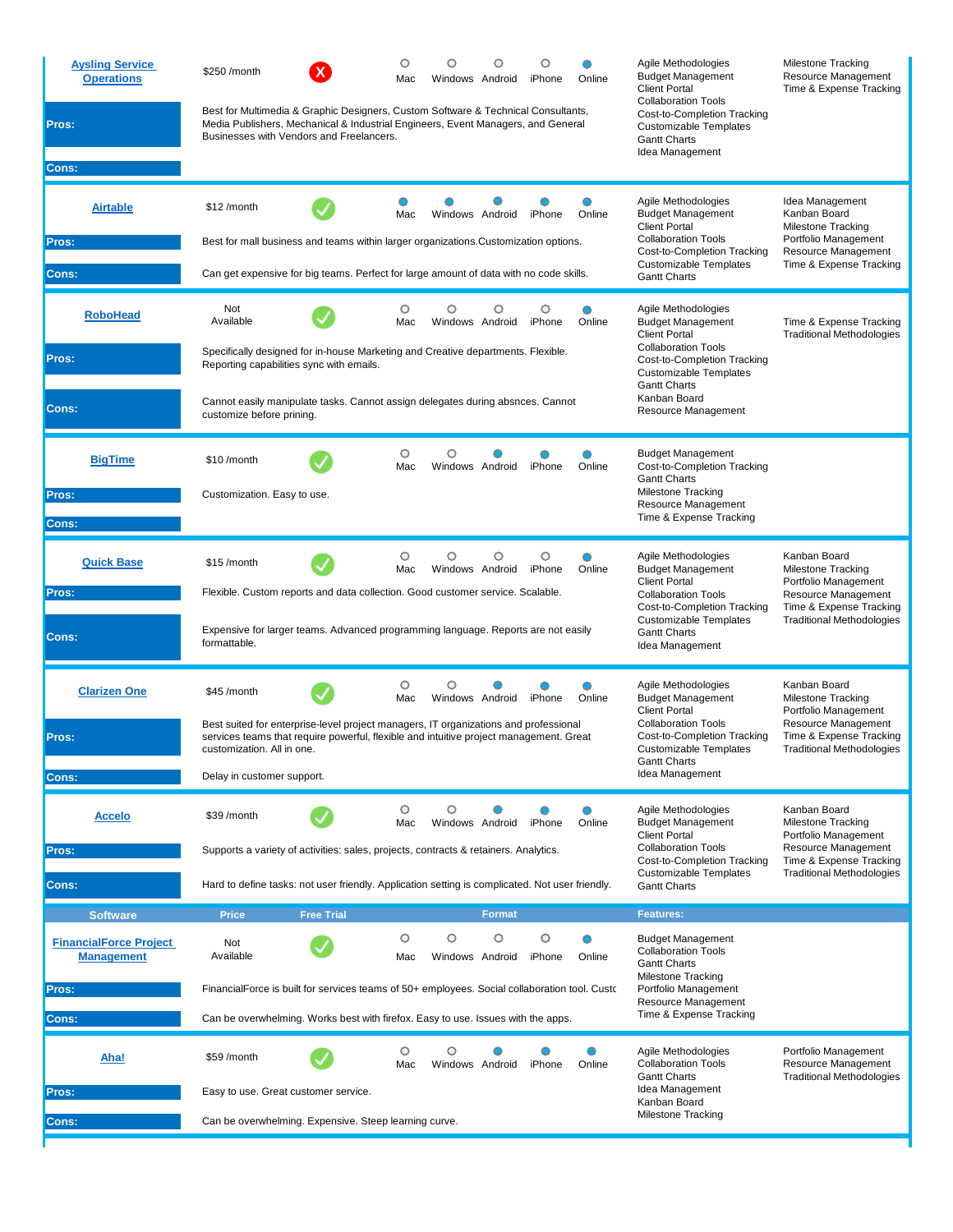| <b>Aysling Service</b><br><b>Operations</b>        | \$250 /month                                                                                                                                                                                                      | $\circ$<br>Mac<br>Windows Android                         | O<br>O<br>iPhone                            | Online      | Agile Methodologies<br><b>Budget Management</b><br><b>Client Portal</b><br><b>Collaboration Tools</b>             | <b>Milestone Tracking</b><br>Resource Management<br>Time & Expense Tracking                         |  |
|----------------------------------------------------|-------------------------------------------------------------------------------------------------------------------------------------------------------------------------------------------------------------------|-----------------------------------------------------------|---------------------------------------------|-------------|-------------------------------------------------------------------------------------------------------------------|-----------------------------------------------------------------------------------------------------|--|
| Pros:                                              | Best for Multimedia & Graphic Designers, Custom Software & Technical Consultants,<br>Media Publishers, Mechanical & Industrial Engineers, Event Managers, and General<br>Businesses with Vendors and Freelancers. |                                                           |                                             |             | Cost-to-Completion Tracking<br><b>Customizable Templates</b><br><b>Gantt Charts</b>                               |                                                                                                     |  |
| Cons:                                              |                                                                                                                                                                                                                   |                                                           |                                             |             | Idea Management                                                                                                   |                                                                                                     |  |
| <b>Airtable</b>                                    | \$12 /month                                                                                                                                                                                                       | Mac<br>Windows Android                                    | iPhone                                      | Online      | Agile Methodologies<br><b>Budget Management</b><br><b>Client Portal</b>                                           | Idea Management<br>Kanban Board<br>Milestone Tracking                                               |  |
| Pros:                                              | Best for mall business and teams within larger organizations. Customization options.                                                                                                                              | <b>Collaboration Tools</b><br>Cost-to-Completion Tracking | Portfolio Management<br>Resource Management |             |                                                                                                                   |                                                                                                     |  |
| Cons:                                              | Can get expensive for big teams. Perfect for large amount of data with no code skills.                                                                                                                            |                                                           |                                             |             | <b>Customizable Templates</b><br><b>Gantt Charts</b>                                                              | Time & Expense Tracking                                                                             |  |
| <b>RoboHead</b>                                    | Not<br>Available                                                                                                                                                                                                  | $\circ$<br>$\circ$<br>Mac<br>Windows Android              | $\circ$<br>$\circ$<br>iPhone                | O<br>Online | Agile Methodologies<br><b>Budget Management</b><br><b>Client Portal</b>                                           | Time & Expense Tracking<br><b>Traditional Methodologies</b>                                         |  |
| Pros:                                              | Specifically designed for in-house Marketing and Creative departments. Flexible.<br>Reporting capabilities sync with emails.                                                                                      |                                                           |                                             |             | <b>Collaboration Tools</b><br>Cost-to-Completion Tracking<br><b>Customizable Templates</b><br><b>Gantt Charts</b> |                                                                                                     |  |
| Cons:                                              | Cannot easily manipulate tasks. Cannot assign delegates during absnces. Cannot<br>customize before prining.                                                                                                       |                                                           |                                             |             | Kanban Board<br>Resource Management                                                                               |                                                                                                     |  |
| <b>BigTime</b>                                     | $$10/m$ onth                                                                                                                                                                                                      | $\circ$<br>$\circ$<br>Mac<br>Windows Android              | iPhone                                      | Online      | <b>Budget Management</b><br>Cost-to-Completion Tracking<br><b>Gantt Charts</b>                                    |                                                                                                     |  |
| Pros:<br>Cons:                                     | Customization. Easy to use.                                                                                                                                                                                       |                                                           |                                             |             | <b>Milestone Tracking</b><br>Resource Management<br>Time & Expense Tracking                                       |                                                                                                     |  |
| <b>Quick Base</b>                                  | $$15/m$ onth                                                                                                                                                                                                      | $\circ$<br>$\circ$                                        | $\circ$<br>O                                | O           | Agile Methodologies                                                                                               | Kanban Board                                                                                        |  |
| Pros:                                              | Flexible. Custom reports and data collection. Good customer service. Scalable.                                                                                                                                    | Mac<br>Windows Android                                    | iPhone                                      | Online      | <b>Budget Management</b><br><b>Client Portal</b><br><b>Collaboration Tools</b><br>Cost-to-Completion Tracking     | <b>Milestone Tracking</b><br>Portfolio Management<br>Resource Management<br>Time & Expense Tracking |  |
| Cons:                                              | Expensive for larger teams. Advanced programming language. Reports are not easily<br>formattable.                                                                                                                 |                                                           |                                             |             | <b>Customizable Templates</b><br><b>Gantt Charts</b><br>Idea Management                                           | <b>Traditional Methodologies</b>                                                                    |  |
| <b>Clarizen One</b>                                | \$45 /month                                                                                                                                                                                                       | $\circ$<br>O<br>Mac<br>Windows Android                    | iPhone                                      | Online      | Agile Methodologies<br><b>Budget Management</b><br><b>Client Portal</b>                                           | Kanban Board<br>Milestone Tracking<br>Portfolio Management                                          |  |
| Pros:                                              | Best suited for enterprise-level project managers, IT organizations and professional<br>services teams that require powerful, flexible and intuitive project management. Great<br>customization. All in one.      |                                                           |                                             |             | <b>Collaboration Tools</b><br>Cost-to-Completion Tracking<br><b>Customizable Templates</b>                        | Resource Management<br>Time & Expense Tracking<br><b>Traditional Methodologies</b>                  |  |
| Cons:                                              | Delay in customer support.                                                                                                                                                                                        |                                                           |                                             |             | <b>Gantt Charts</b><br>Idea Management                                                                            |                                                                                                     |  |
| <b>Accelo</b>                                      | \$39 / month                                                                                                                                                                                                      | $\circ$<br>$\circ$<br>Windows Android<br>Mac              | iPhone                                      | O<br>Online | Agile Methodologies<br><b>Budget Management</b><br><b>Client Portal</b>                                           | Kanban Board<br>Milestone Tracking<br>Portfolio Management                                          |  |
| Pros:                                              | Supports a variety of activities: sales, projects, contracts & retainers. Analytics.                                                                                                                              |                                                           |                                             |             | <b>Collaboration Tools</b><br>Cost-to-Completion Tracking                                                         | Resource Management<br>Time & Expense Tracking                                                      |  |
| Cons:                                              | Hard to define tasks: not user friendly. Application setting is complicated. Not user friendly.                                                                                                                   |                                                           |                                             |             | <b>Customizable Templates</b><br><b>Gantt Charts</b>                                                              | <b>Traditional Methodologies</b>                                                                    |  |
| <b>Software</b>                                    | <b>Free Trial</b><br><b>Price</b>                                                                                                                                                                                 |                                                           | Format                                      |             | <b>Features:</b>                                                                                                  |                                                                                                     |  |
| <b>FinancialForce Project</b><br><b>Management</b> | Not<br>Available                                                                                                                                                                                                  | $\circ$<br>$\circ$<br>Mac<br>Windows Android              | $\circ$<br>$\circ$<br>iPhone                | Online      | <b>Budget Management</b><br><b>Collaboration Tools</b><br><b>Gantt Charts</b>                                     |                                                                                                     |  |
| Pros:                                              | FinancialForce is built for services teams of 50+ employees. Social collaboration tool. Custo                                                                                                                     |                                                           |                                             |             | <b>Milestone Tracking</b><br>Portfolio Management<br>Resource Management                                          |                                                                                                     |  |
| Cons:                                              | Can be overwhelming. Works best with firefox. Easy to use. Issues with the apps.                                                                                                                                  |                                                           |                                             |             | Time & Expense Tracking                                                                                           |                                                                                                     |  |
| Aha!                                               | \$59 /month                                                                                                                                                                                                       | $\circ$<br>O<br>Mac<br>Windows Android                    | iPhone                                      | Ο<br>Online | Agile Methodologies<br><b>Collaboration Tools</b><br><b>Gantt Charts</b>                                          | Portfolio Management<br>Resource Management<br><b>Traditional Methodologies</b>                     |  |
| Pros:                                              | Easy to use. Great customer service.                                                                                                                                                                              |                                                           |                                             |             | Idea Management<br>Kanban Board                                                                                   |                                                                                                     |  |
| Cons:                                              | Can be overwhelming. Expensive. Steep learning curve.                                                                                                                                                             |                                                           |                                             |             | <b>Milestone Tracking</b>                                                                                         |                                                                                                     |  |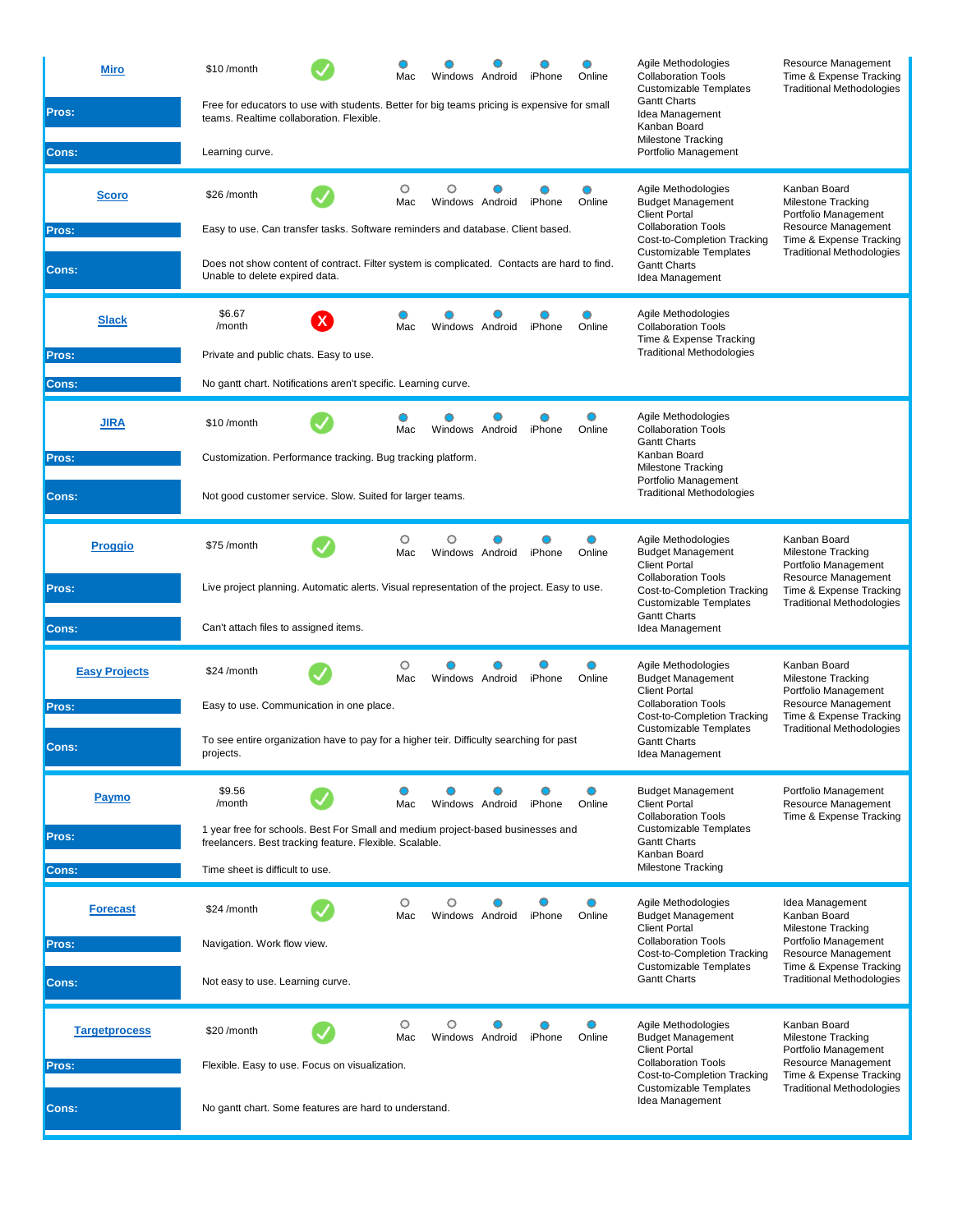| Miro<br>Pros:        | \$10 /month<br>teams. Realtime collaboration. Flexible.        | Mac<br>iPhone<br>Online<br>Windows Android<br>Free for educators to use with students. Better for big teams pricing is expensive for small | Agile Methodologies<br><b>Collaboration Tools</b><br><b>Customizable Templates</b><br><b>Gantt Charts</b><br>Idea Management | Resource Management<br>Time & Expense Tracking<br><b>Traditional Methodologies</b>                         |
|----------------------|----------------------------------------------------------------|--------------------------------------------------------------------------------------------------------------------------------------------|------------------------------------------------------------------------------------------------------------------------------|------------------------------------------------------------------------------------------------------------|
| Cons:                | Learning curve.                                                |                                                                                                                                            | Kanban Board<br><b>Milestone Tracking</b><br>Portfolio Management                                                            |                                                                                                            |
| <b>Scoro</b>         | \$26 /month                                                    | $\circ$<br>$\circ$<br>O<br>Mac<br>Windows Android<br>iPhone<br>Online                                                                      | Agile Methodologies<br><b>Budget Management</b><br><b>Client Portal</b>                                                      | Kanban Board<br><b>Milestone Tracking</b><br>Portfolio Management                                          |
| Pros:                |                                                                | Easy to use. Can transfer tasks. Software reminders and database. Client based.                                                            | <b>Collaboration Tools</b><br>Cost-to-Completion Tracking                                                                    | Resource Management<br>Time & Expense Tracking                                                             |
| Cons:                | Unable to delete expired data.                                 | Does not show content of contract. Filter system is complicated. Contacts are hard to find.                                                | <b>Customizable Templates</b><br><b>Gantt Charts</b><br>Idea Management                                                      | <b>Traditional Methodologies</b>                                                                           |
| <b>Slack</b>         | \$6.67<br>X<br>/month                                          | Mac<br>iPhone<br>Online<br>Windows Android                                                                                                 | Agile Methodologies<br><b>Collaboration Tools</b><br>Time & Expense Tracking                                                 |                                                                                                            |
| Pros:                | Private and public chats. Easy to use.                         |                                                                                                                                            | <b>Traditional Methodologies</b>                                                                                             |                                                                                                            |
| Cons:                | No gantt chart. Notifications aren't specific. Learning curve. |                                                                                                                                            |                                                                                                                              |                                                                                                            |
| <b>JIRA</b>          | \$10 /month                                                    | O<br>Mac<br>iPhone<br>Online<br>Windows Android                                                                                            | Agile Methodologies<br><b>Collaboration Tools</b><br><b>Gantt Charts</b>                                                     |                                                                                                            |
| Pros:                | Customization. Performance tracking. Bug tracking platform.    |                                                                                                                                            | Kanban Board<br><b>Milestone Tracking</b><br>Portfolio Management                                                            |                                                                                                            |
| Cons:                | Not good customer service. Slow. Suited for larger teams.      |                                                                                                                                            | <b>Traditional Methodologies</b>                                                                                             |                                                                                                            |
| <u>Proggio</u>       | \$75 /month                                                    | $\circ$<br>O<br>Online<br>Mac<br>Windows Android<br>iPhone                                                                                 | Agile Methodologies<br><b>Budget Management</b><br><b>Client Portal</b>                                                      | Kanban Board<br>Milestone Tracking<br>Portfolio Management                                                 |
| Pros:                |                                                                | Live project planning. Automatic alerts. Visual representation of the project. Easy to use.                                                | <b>Collaboration Tools</b><br>Cost-to-Completion Tracking<br><b>Customizable Templates</b>                                   | Resource Management<br>Time & Expense Tracking<br><b>Traditional Methodologies</b>                         |
| Cons:                | Can't attach files to assigned items.                          |                                                                                                                                            | <b>Gantt Charts</b><br>Idea Management                                                                                       |                                                                                                            |
| <b>Easy Projects</b> | \$24 /month                                                    | $\circ$<br>O<br>Online<br>Mac<br>Windows Android<br>iPhone                                                                                 | Agile Methodologies<br><b>Budget Management</b><br><b>Client Portal</b>                                                      | Kanban Board<br>Milestone Tracking<br>Portfolio Management                                                 |
| Pros:                | Easy to use. Communication in one place.                       |                                                                                                                                            | <b>Collaboration Tools</b><br>Cost-to-Completion Tracking                                                                    | Resource Management<br>Time & Expense Tracking                                                             |
| Cons:                | projects.                                                      | To see entire organization have to pay for a higher teir. Difficulty searching for past                                                    | <b>Customizable Templates</b><br><b>Gantt Charts</b><br>Idea Management                                                      | <b>Traditional Methodologies</b>                                                                           |
| Paymo                | \$9.56<br>/month                                               | O<br>Mac<br>Online<br>Windows Android<br>iPhone                                                                                            | <b>Budget Management</b><br><b>Client Portal</b><br><b>Collaboration Tools</b>                                               | Portfolio Management<br>Resource Management<br>Time & Expense Tracking                                     |
| Pros:                | freelancers. Best tracking feature. Flexible. Scalable.        | 1 year free for schools. Best For Small and medium project-based businesses and                                                            | <b>Customizable Templates</b><br><b>Gantt Charts</b><br>Kanban Board                                                         |                                                                                                            |
| Cons:                | Time sheet is difficult to use.                                |                                                                                                                                            | <b>Milestone Tracking</b>                                                                                                    |                                                                                                            |
| <b>Forecast</b>      | \$24 /month                                                    | $\circ$<br>$\circ$<br>O<br>O<br>Mac<br>Online<br>Windows Android<br>iPhone                                                                 | Agile Methodologies<br><b>Budget Management</b><br><b>Client Portal</b>                                                      | Idea Management<br>Kanban Board<br>Milestone Tracking                                                      |
| Pros:                | Navigation. Work flow view.                                    |                                                                                                                                            | <b>Collaboration Tools</b><br>Cost-to-Completion Tracking                                                                    | Portfolio Management<br>Resource Management                                                                |
| Cons:                | Not easy to use. Learning curve.                               |                                                                                                                                            | <b>Customizable Templates</b><br><b>Gantt Charts</b>                                                                         | Time & Expense Tracking<br><b>Traditional Methodologies</b>                                                |
| <b>Targetprocess</b> | \$20 /month                                                    | $\circ$<br>$\circ$<br>$\bullet$<br>Mac<br>Online<br>Windows Android<br>iPhone                                                              | Agile Methodologies<br><b>Budget Management</b><br><b>Client Portal</b>                                                      | Kanban Board<br>Milestone Tracking                                                                         |
| Pros:                | Flexible. Easy to use. Focus on visualization.                 |                                                                                                                                            | <b>Collaboration Tools</b><br>Cost-to-Completion Tracking<br><b>Customizable Templates</b>                                   | Portfolio Management<br>Resource Management<br>Time & Expense Tracking<br><b>Traditional Methodologies</b> |
| Cons:                | No gantt chart. Some features are hard to understand.          |                                                                                                                                            | Idea Management                                                                                                              |                                                                                                            |